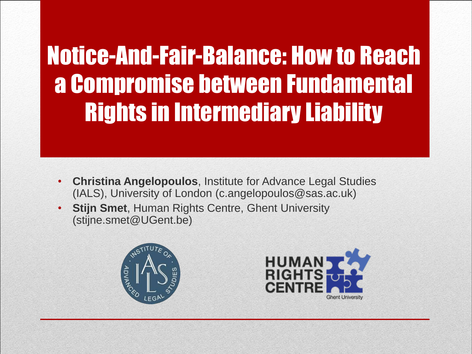Notice-And-Fair-Balance: How to Reach a Compromise between Fundamental Rights in Intermediary Liability

- **Christina Angelopoulos**, Institute for Advance Legal Studies (IALS), University of London (c.angelopoulos@sas.ac.uk)
- **Stijn Smet**, Human Rights Centre, Ghent University (stijne.smet@UGent.be)



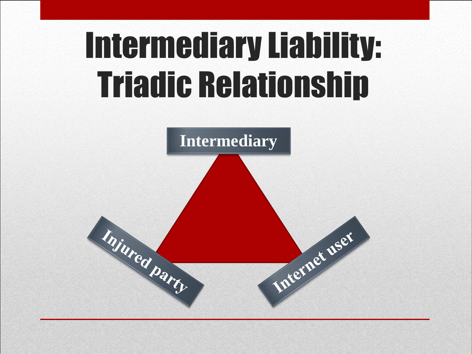### Intermediary Liability: Triadic Relationship

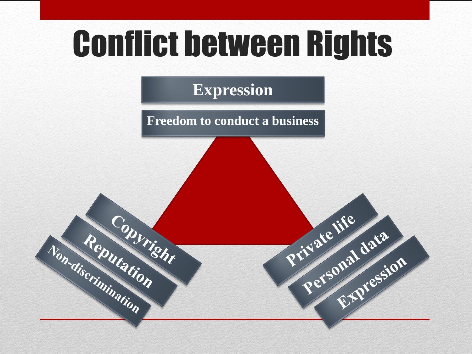### Conflict between Rights

#### **Expression**

**Freedom to conduct a business**

Private life

Personal data

Onal du Casion

Non-discrimination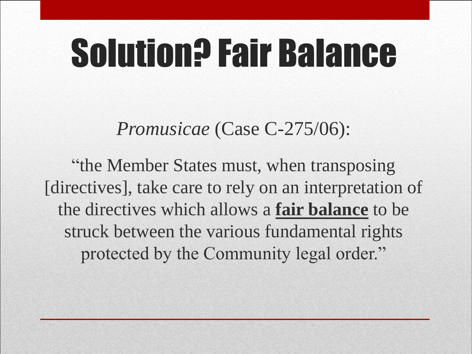## Solution? Fair Balance

*Promusicae* (Case C-275/06):

"the Member States must, when transposing [directives], take care to rely on an interpretation of the directives which allows a **fair balance** to be struck between the various fundamental rights protected by the Community legal order."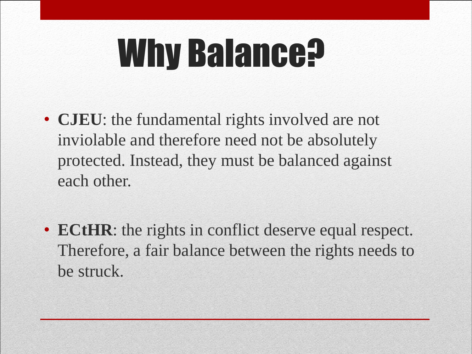## Why Balance?

- **CJEU**: the fundamental rights involved are not inviolable and therefore need not be absolutely protected. Instead, they must be balanced against each other.
- **ECtHR**: the rights in conflict deserve equal respect. Therefore, a fair balance between the rights needs to be struck.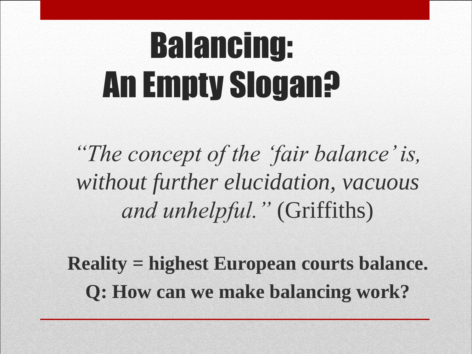## Balancing: An Empty Slogan?

*"The concept of the 'fair balance' is, without further elucidation, vacuous and unhelpful."* (Griffiths)

**Reality = highest European courts balance. Q: How can we make balancing work?**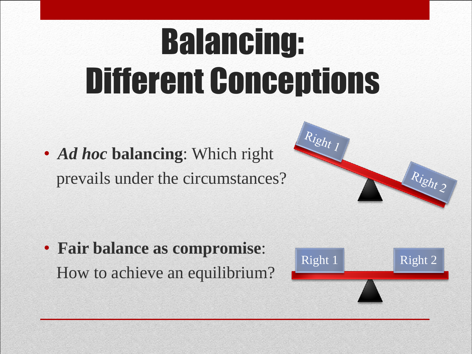## Balancing: Different Conceptions

• *Ad hoc* **balancing**: Which right prevails under the circumstances?



• **Fair balance as compromise**: How to achieve an equilibrium?

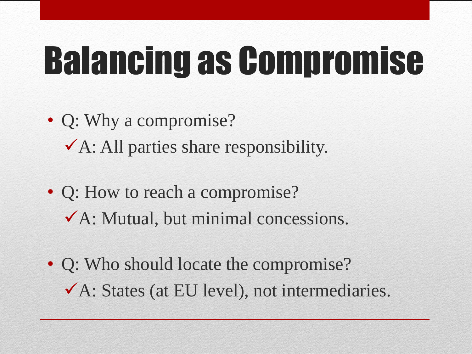## Balancing as Compromise

- Q: Why a compromise?  $\checkmark$  A: All parties share responsibility.
- Q: How to reach a compromise? A: Mutual, but minimal concessions.
- Q: Who should locate the compromise? A: States (at EU level), not intermediaries.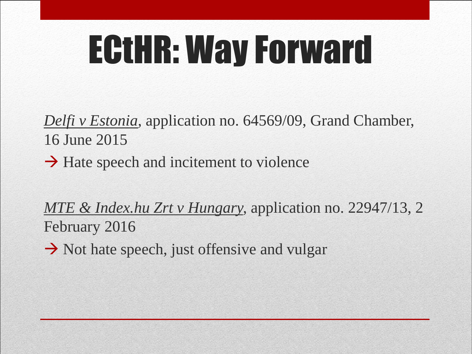## ECtHR: Way Forward

*Delfi v Estonia,* application no. 64569/09, Grand Chamber, 16 June 2015

 $\rightarrow$  Hate speech and incitement to violence

*MTE & Index.hu Zrt v Hungary,* application no. 22947/13, 2 February 2016

 $\rightarrow$  Not hate speech, just offensive and vulgar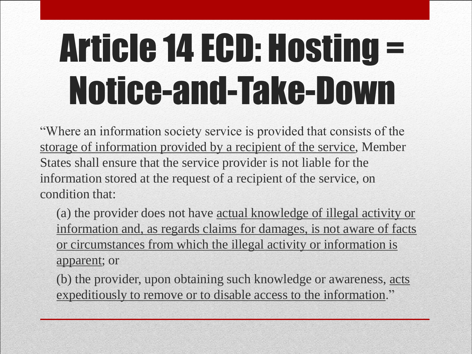## Article 14 ECD: Hosting = Notice-and-Take-Down

"Where an information society service is provided that consists of the storage of information provided by a recipient of the service, Member States shall ensure that the service provider is not liable for the information stored at the request of a recipient of the service, on condition that:

(a) the provider does not have actual knowledge of illegal activity or information and, as regards claims for damages, is not aware of facts or circumstances from which the illegal activity or information is apparent; or

(b) the provider, upon obtaining such knowledge or awareness, acts expeditiously to remove or to disable access to the information."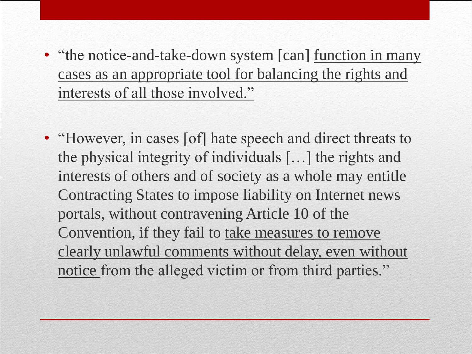- "the notice-and-take-down system [can] function in many cases as an appropriate tool for balancing the rights and interests of all those involved."
- "However, in cases [of] hate speech and direct threats to the physical integrity of individuals […] the rights and interests of others and of society as a whole may entitle Contracting States to impose liability on Internet news portals, without contravening Article 10 of the Convention, if they fail to take measures to remove clearly unlawful comments without delay, even without notice from the alleged victim or from third parties."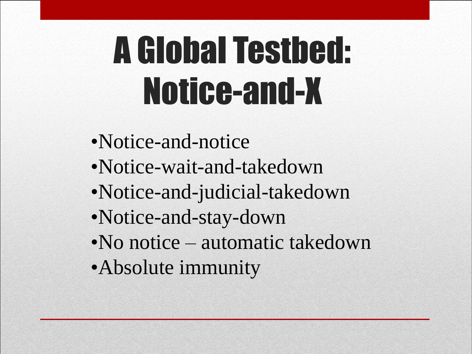## A Global Testbed: Notice-and-X

- •Notice-and-notice
- •Notice-wait-and-takedown
- •Notice-and-judicial-takedown
- •Notice-and-stay-down
- •No notice automatic takedown
- •Absolute immunity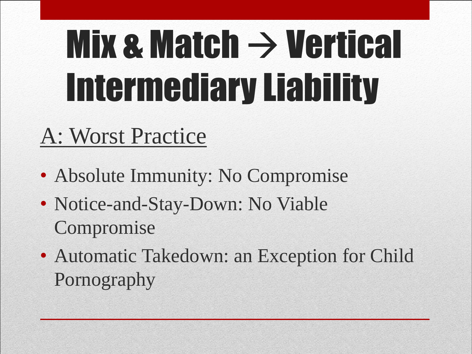# Mix  $\mathbf x$  Match  $\rightarrow$  Vertical Intermediary Liability

#### A: Worst Practice

- Absolute Immunity: No Compromise
- Notice-and-Stay-Down: No Viable Compromise
- Automatic Takedown: an Exception for Child Pornography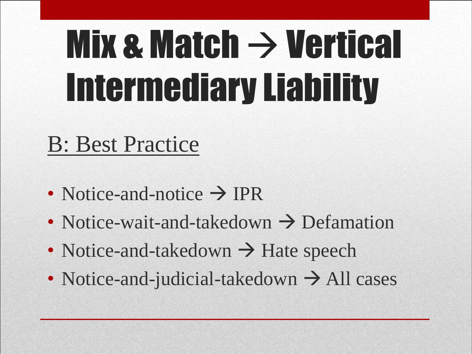## Mix  $\mathbf x$  Match  $\rightarrow$  Vertical Intermediary Liability

#### B: Best Practice

- Notice-and-notice  $\rightarrow$  IPR
- Notice-wait-and-takedown  $\rightarrow$  Defamation
- Notice-and-takedown  $\rightarrow$  Hate speech
- Notice-and-judicial-takedown  $\rightarrow$  All cases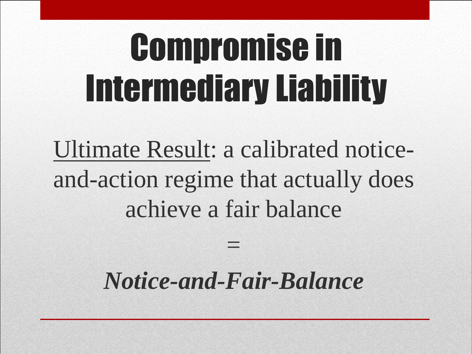## Compromise in Intermediary Liability

Ultimate Result: a calibrated noticeand-action regime that actually does achieve a fair balance

#### *Notice-and-Fair-Balance*

=